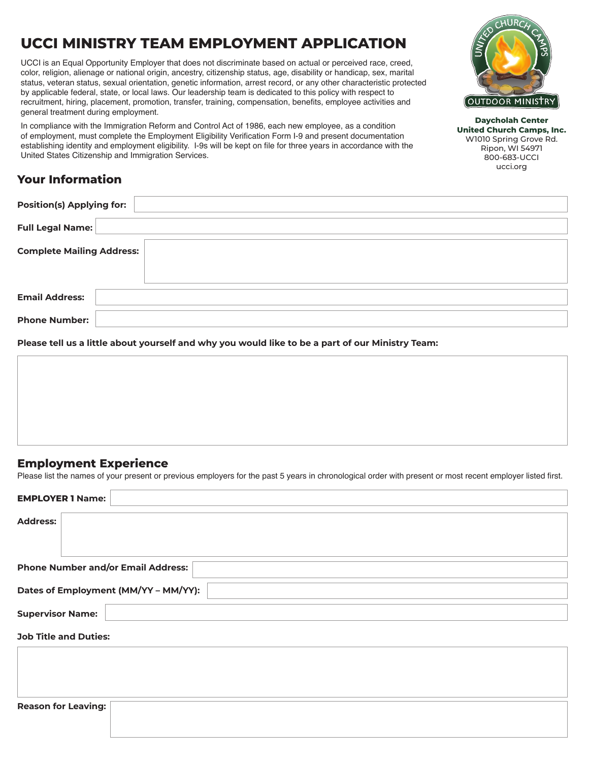# **UCCI MINISTRY TEAM EMPLOYMENT APPLICATION**

UCCI is an Equal Opportunity Employer that does not discriminate based on actual or perceived race, creed, color, religion, alienage or national origin, ancestry, citizenship status, age, disability or handicap, sex, marital status, veteran status, sexual orientation, genetic information, arrest record, or any other characteristic protected by applicable federal, state, or local laws. Our leadership team is dedicated to this policy with respect to recruitment, hiring, placement, promotion, transfer, training, compensation, benefits, employee activities and general treatment during employment.

In compliance with the Immigration Reform and Control Act of 1986, each new employee, as a condition of employment, must complete the Employment Eligibility Verification Form I-9 and present documentation establishing identity and employment eligibility. I-9s will be kept on file for three years in accordance with the United States Citizenship and Immigration Services.

## **Your Information**

| <b>Position(s) Applying for:</b> |  |
|----------------------------------|--|
| Full Legal Name:                 |  |
| <b>Complete Mailing Address:</b> |  |
| <b>Email Address:</b>            |  |
| <b>Phone Number:</b>             |  |

**Please tell us a little about yourself and why you would like to be a part of our Ministry Team:**

### **Employment Experience**

Please list the names of your present or previous employers for the past 5 years in chronological order with present or most recent employer listed first.

| <b>EMPLOYER 1 Name:</b>                   |
|-------------------------------------------|
| <b>Address:</b>                           |
| <b>Phone Number and/or Email Address:</b> |
| Dates of Employment (MM/YY - MM/YY):      |
| <b>Supervisor Name:</b>                   |
| <b>Job Title and Duties:</b>              |
|                                           |
|                                           |
| <b>Reason for Leaving:</b>                |



**Daycholah Center United Church Camps, Inc.** W1010 Spring Grove Rd. Ripon, WI 54971 800-683-UCCI ucci.org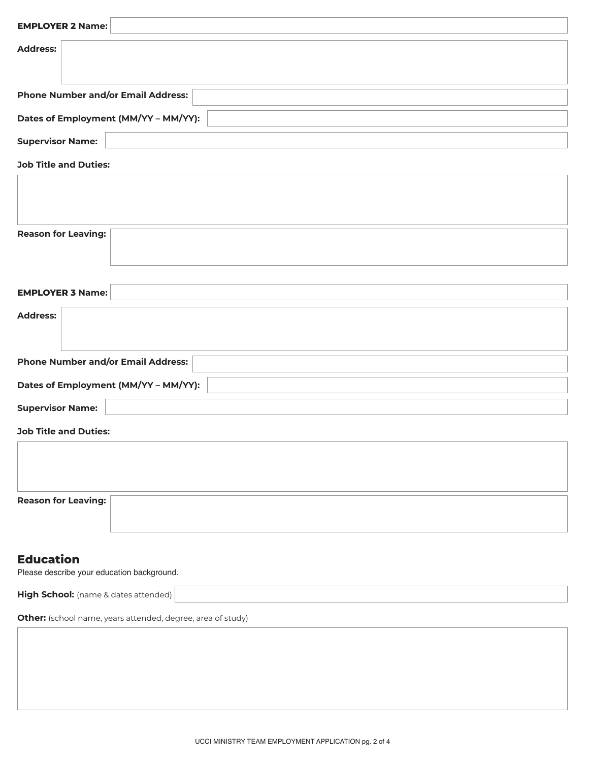| <b>EMPLOYER 2 Name:</b>                                        |  |  |  |  |
|----------------------------------------------------------------|--|--|--|--|
| <b>Address:</b>                                                |  |  |  |  |
| <b>Phone Number and/or Email Address:</b>                      |  |  |  |  |
| Dates of Employment (MM/YY - MM/YY):                           |  |  |  |  |
| <b>Supervisor Name:</b>                                        |  |  |  |  |
| <b>Job Title and Duties:</b>                                   |  |  |  |  |
|                                                                |  |  |  |  |
| <b>Reason for Leaving:</b>                                     |  |  |  |  |
| <b>EMPLOYER 3 Name:</b>                                        |  |  |  |  |
| <b>Address:</b>                                                |  |  |  |  |
| <b>Phone Number and/or Email Address:</b>                      |  |  |  |  |
| Dates of Employment (MM/YY - MM/YY):                           |  |  |  |  |
| <b>Supervisor Name:</b>                                        |  |  |  |  |
| <b>Job Title and Duties:</b>                                   |  |  |  |  |
|                                                                |  |  |  |  |
| <b>Reason for Leaving:</b>                                     |  |  |  |  |
| <b>Education</b><br>Please describe your education background. |  |  |  |  |
| High School: (name & dates attended)                           |  |  |  |  |
| Other: (school name, years attended, degree, area of study)    |  |  |  |  |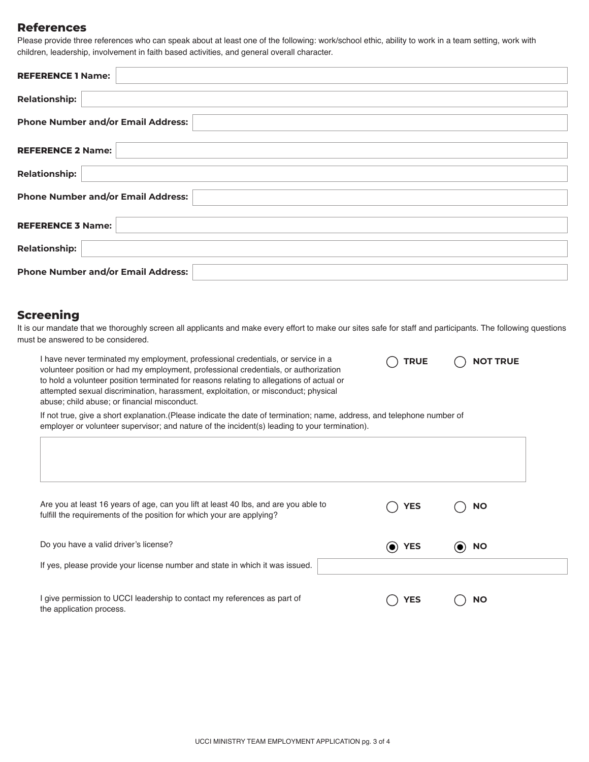#### **References**

Please provide three references who can speak about at least one of the following: work/school ethic, ability to work in a team setting, work with children, leadership, involvement in faith based activities, and general overall character.

| <b>REFERENCE 1 Name:</b>                  |
|-------------------------------------------|
| <b>Relationship:</b>                      |
| <b>Phone Number and/or Email Address:</b> |
|                                           |
| <b>REFERENCE 2 Name:</b>                  |
| <b>Relationship:</b>                      |
| <b>Phone Number and/or Email Address:</b> |
| <b>REFERENCE 3 Name:</b>                  |
| <b>Relationship:</b>                      |
| <b>Phone Number and/or Email Address:</b> |

#### **Screening**

It is our mandate that we thoroughly screen all applicants and make every effort to make our sites safe for staff and participants. The following questions must be answered to be considered.

**TRUE NOT TRUE**

I have never terminated my employment, professional credentials, or service in a volunteer position or had my employment, professional credentials, or authorization to hold a volunteer position terminated for reasons relating to allegations of actual or attempted sexual discrimination, harassment, exploitation, or misconduct; physical abuse; child abuse; or financial misconduct.

If not true, give a short explanation.(Please indicate the date of termination; name, address, and telephone number of employer or volunteer supervisor; and nature of the incident(s) leading to your termination).

| Are you at least 16 years of age, can you lift at least 40 lbs, and are you able to<br>fulfill the requirements of the position for which your are applying? | <b>YES</b> | <b>NO</b> |
|--------------------------------------------------------------------------------------------------------------------------------------------------------------|------------|-----------|
| Do you have a valid driver's license?<br>If yes, please provide your license number and state in which it was issued.                                        | (O) YES    | <b>NO</b> |
| I give permission to UCCI leadership to contact my references as part of<br>the application process.                                                         | YES        | <b>NO</b> |